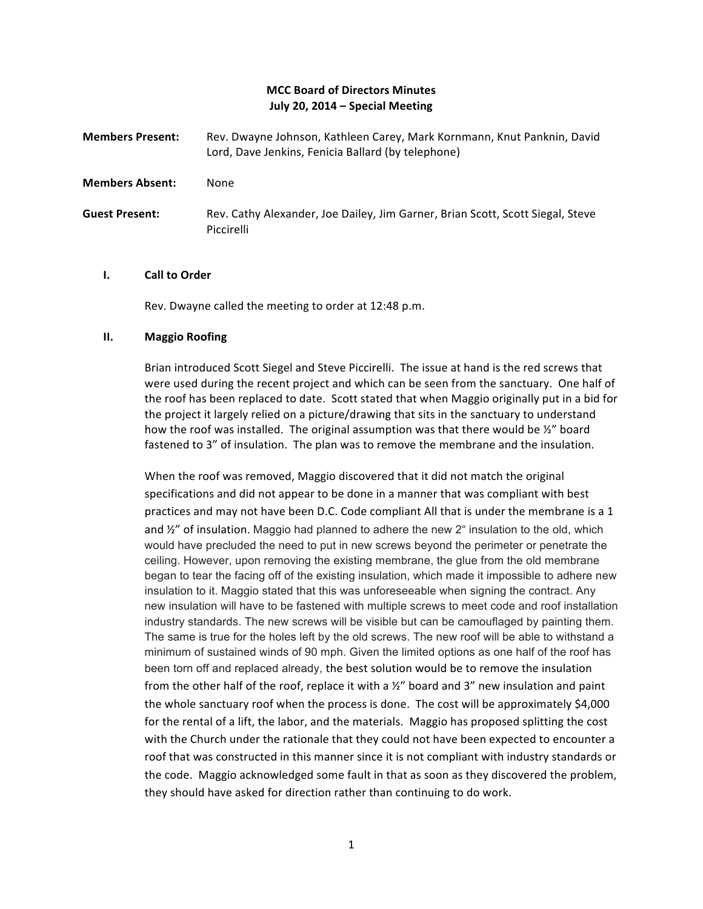# **MCC Board of Directors Minutes July 20, 2014 – Special Meeting**

|                       | Lord, Dave Jenkins, Fenicia Ballard (by telephone)                                           |
|-----------------------|----------------------------------------------------------------------------------------------|
| Members Absent:       | None                                                                                         |
| <b>Guest Present:</b> | Rev. Cathy Alexander, Joe Dailey, Jim Garner, Brian Scott, Scott Siegal, Steve<br>Piccirelli |

**Members Present:** Rev. Dwayne Johnson, Kathleen Carey, Mark Kornmann, Knut Panknin, David

## **I. Call to Order**

Rev. Dwayne called the meeting to order at 12:48 p.m.

#### **II. Maggio Roofing**

Brian introduced Scott Siegel and Steve Piccirelli. The issue at hand is the red screws that were used during the recent project and which can be seen from the sanctuary. One half of the roof has been replaced to date. Scott stated that when Maggio originally put in a bid for the project it largely relied on a picture/drawing that sits in the sanctuary to understand how the roof was installed. The original assumption was that there would be  $\frac{y}{z}$  board fastened to 3" of insulation. The plan was to remove the membrane and the insulation.

When the roof was removed, Maggio discovered that it did not match the original specifications and did not appear to be done in a manner that was compliant with best practices and may not have been D.C. Code compliant All that is under the membrane is a 1 and  $\frac{y''}{2}$  of insulation. Maggio had planned to adhere the new 2" insulation to the old, which would have precluded the need to put in new screws beyond the perimeter or penetrate the ceiling. However, upon removing the existing membrane, the glue from the old membrane began to tear the facing off of the existing insulation, which made it impossible to adhere new insulation to it. Maggio stated that this was unforeseeable when signing the contract. Any new insulation will have to be fastened with multiple screws to meet code and roof installation industry standards. The new screws will be visible but can be camouflaged by painting them. The same is true for the holes left by the old screws. The new roof will be able to withstand a minimum of sustained winds of 90 mph. Given the limited options as one half of the roof has been torn off and replaced already, the best solution would be to remove the insulation from the other half of the roof, replace it with a  $\frac{y^2}{2}$  board and 3" new insulation and paint the whole sanctuary roof when the process is done. The cost will be approximately \$4,000 for the rental of a lift, the labor, and the materials. Maggio has proposed splitting the cost with the Church under the rationale that they could not have been expected to encounter a roof that was constructed in this manner since it is not compliant with industry standards or the code. Maggio acknowledged some fault in that as soon as they discovered the problem, they should have asked for direction rather than continuing to do work.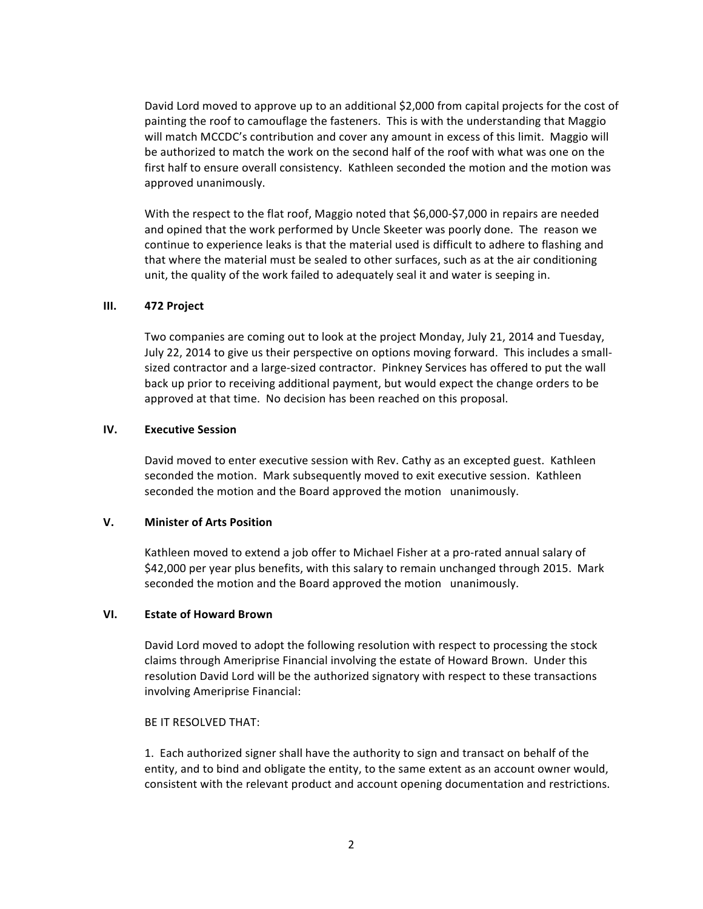David Lord moved to approve up to an additional \$2,000 from capital projects for the cost of painting the roof to camouflage the fasteners. This is with the understanding that Maggio will match MCCDC's contribution and cover any amount in excess of this limit. Maggio will be authorized to match the work on the second half of the roof with what was one on the first half to ensure overall consistency. Kathleen seconded the motion and the motion was approved unanimously.

With the respect to the flat roof, Maggio noted that \$6,000-\$7,000 in repairs are needed and opined that the work performed by Uncle Skeeter was poorly done. The reason we continue to experience leaks is that the material used is difficult to adhere to flashing and that where the material must be sealed to other surfaces, such as at the air conditioning unit, the quality of the work failed to adequately seal it and water is seeping in.

## **III. 472 Project**

Two companies are coming out to look at the project Monday, July 21, 2014 and Tuesday, July 22, 2014 to give us their perspective on options moving forward. This includes a smallsized contractor and a large-sized contractor. Pinkney Services has offered to put the wall back up prior to receiving additional payment, but would expect the change orders to be approved at that time. No decision has been reached on this proposal.

## **IV. Executive Session**

David moved to enter executive session with Rev. Cathy as an excepted guest. Kathleen seconded the motion. Mark subsequently moved to exit executive session. Kathleen seconded the motion and the Board approved the motion unanimously.

#### **V. Minister of Arts Position**

Kathleen moved to extend a job offer to Michael Fisher at a pro-rated annual salary of \$42,000 per year plus benefits, with this salary to remain unchanged through 2015. Mark seconded the motion and the Board approved the motion unanimously.

## **VI. Estate of Howard Brown**

David Lord moved to adopt the following resolution with respect to processing the stock claims through Ameriprise Financial involving the estate of Howard Brown. Under this resolution David Lord will be the authorized signatory with respect to these transactions involving Ameriprise Financial:

#### BE IT RESOLVED THAT:

1. Each authorized signer shall have the authority to sign and transact on behalf of the entity, and to bind and obligate the entity, to the same extent as an account owner would, consistent with the relevant product and account opening documentation and restrictions.